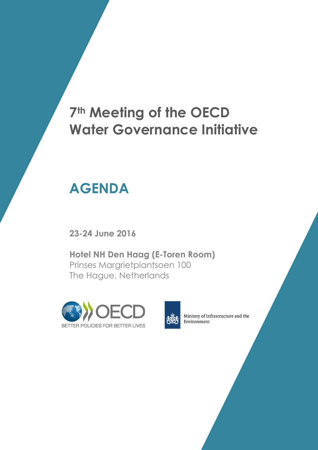## **7th Meeting of the OECD Water Governance Initiative**

# **AGENDA**

**23-24 June 2016**

**Hotel NH Den Haag (E-Toren Room)** Prinses Margrietplantsoen 100 The Hague, Netherlands





Ministry of Infrastructure and the Environment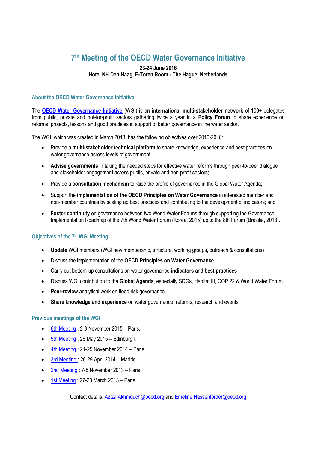### **7 th Meeting of the OECD Water Governance Initiative**

#### **23-24 June 2016 Hotel NH Den Haag, E-Toren Room - The Hague, Netherlands**

#### **About the OECD Water Governance Initiative**

The **[OECD Water Governance Initiative](http://www.oecd.org/gov/regional-policy/OECD-WGI-Brochure.pdf)** (WGI) is an **international multi-stakeholder network** of 100+ delegates from public, private and not-for-profit sectors gathering twice a year in a **Policy Forum** to share experience on reforms, projects, lessons and good practices in support of better governance in the water sector.

The WGI, which was created in March 2013, has the following objectives over 2016-2018:

- Provide a **multi-stakeholder technical platform** to share knowledge, experience and best practices on water governance across levels of government;
- **Advise governments** in taking the needed steps for effective water reforms through peer-to-peer dialogue and stakeholder engagement across public, private and non-profit sectors;
- Provide a **consultation mechanism** to raise the profile of governance in the Global Water Agenda;
- Support the **implementation of the OECD Principles on Water Governance** in interested member and non-member countries by scaling up best practices and contributing to the development of indicators; and
- **Foster continuity** on governance between two World Water Forums through supporting the Governance Implementation Roadmap of the 7th World Water Forum (Korea, 2015) up to the 8th Forum (Brasilia, 2018).

#### **Objectives of the 7 th WGI Meeting**

- **Update** WGI members (WGI new membership, structure, working groups, outreach & consultations)
- Discuss the implementation of the **OECD Principles on Water Governance**
- Carry out bottom-up consultations on water governance **indicators** and **best practices**
- Discuss WGI contribution to the **Global Agenda**, especially SDGs, Habitat III, COP 22 & World Water Forum
- **Peer-review** analytical work on flood risk governance
- **Share knowledge and experience** on water governance, reforms, research and events

#### **Previous meetings of the WGI**

- [6th Meeting](http://www.oecd.org/gov/regional-policy/water-governance-initiative-meeting-6.htm) : 2-3 November 2015 Paris.
- [5th Meeting](http://www.oecd.org/gov/regional-policy/water-governance-initiative-meeting-5.htm) : 26 May 2015 Edinburgh.
- [4th Meeting](http://www.oecd.org/governance/regional-policy/water-governance-initiative-meeting-4.htm) : 24-25 November 2014 Paris.
- [3rd Meeting](http://www.oecd.org/governance/regional-policy/water-governance-initiative-meeting-3.htm) : 28-29 April 2014 Madrid.
- [2nd Meeting](http://www.oecd.org/governance/regional-policy/water-governance-initiative-meeting-2.htm) : 7-8 November 2013 Paris.
- [1st Meeting](http://www.oecd.org/gov/regional-policy/water-governance-initiative-meeting-1.htm) : 27-28 March 2013 Paris.

Contact details: [Aziza.Akhmouch@oecd.org](mailto:Aziza.Akhmouch@oecd.org) an[d Emeline.](mailto:Delphine.Clavreul@oecd.org)Hassenforder@oecd.org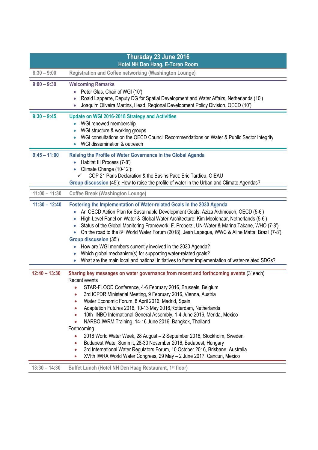| Thursday 23 June 2016 |                                                                                                                                                                                                                                                                                                                                                                                                                                                                                                                                                                                                                                                                                                                                                                                                                                         |  |
|-----------------------|-----------------------------------------------------------------------------------------------------------------------------------------------------------------------------------------------------------------------------------------------------------------------------------------------------------------------------------------------------------------------------------------------------------------------------------------------------------------------------------------------------------------------------------------------------------------------------------------------------------------------------------------------------------------------------------------------------------------------------------------------------------------------------------------------------------------------------------------|--|
| $8:30 - 9:00$         | Hotel NH Den Haag, E-Toren Room<br><b>Registration and Coffee networking (Washington Lounge)</b>                                                                                                                                                                                                                                                                                                                                                                                                                                                                                                                                                                                                                                                                                                                                        |  |
| $9:00 - 9:30$         | <b>Welcoming Remarks</b>                                                                                                                                                                                                                                                                                                                                                                                                                                                                                                                                                                                                                                                                                                                                                                                                                |  |
|                       | Peter Glas, Chair of WGI (10')                                                                                                                                                                                                                                                                                                                                                                                                                                                                                                                                                                                                                                                                                                                                                                                                          |  |
|                       | Roald Lapperre, Deputy DG for Spatial Development and Water Affairs, Netherlands (10')<br>Joaquim Oliveira Martins, Head, Regional Development Policy Division, OECD (10')                                                                                                                                                                                                                                                                                                                                                                                                                                                                                                                                                                                                                                                              |  |
| $9:30 - 9:45$         | Update on WGI 2016-2018 Strategy and Activities<br>WGI renewed membership                                                                                                                                                                                                                                                                                                                                                                                                                                                                                                                                                                                                                                                                                                                                                               |  |
|                       | WGI structure & working groups                                                                                                                                                                                                                                                                                                                                                                                                                                                                                                                                                                                                                                                                                                                                                                                                          |  |
|                       | WGI consultations on the OECD Council Recommendations on Water & Public Sector Integrity<br>WGI dissemination & outreach<br>$\bullet$                                                                                                                                                                                                                                                                                                                                                                                                                                                                                                                                                                                                                                                                                                   |  |
| $9:45 - 11:00$        | Raising the Profile of Water Governance in the Global Agenda<br>Habitat III Process (7-8')                                                                                                                                                                                                                                                                                                                                                                                                                                                                                                                                                                                                                                                                                                                                              |  |
|                       | Climate Change (10-12'):                                                                                                                                                                                                                                                                                                                                                                                                                                                                                                                                                                                                                                                                                                                                                                                                                |  |
|                       | COP 21 Paris Declaration & the Basins Pact: Eric Tardieu, OIEAU<br>Group discussion (45'): How to raise the profile of water in the Urban and Climate Agendas?                                                                                                                                                                                                                                                                                                                                                                                                                                                                                                                                                                                                                                                                          |  |
| $11:00 - 11:30$       | <b>Coffee Break (Washington Lounge)</b>                                                                                                                                                                                                                                                                                                                                                                                                                                                                                                                                                                                                                                                                                                                                                                                                 |  |
| $11:30 - 12:40$       | Fostering the Implementation of Water-related Goals in the 2030 Agenda<br>An OECD Action Plan for Sustainable Development Goals: Aziza Akhmouch, OECD (5-6')<br>High-Level Panel on Water & Global Water Architecture: Kim Moolenaar, Netherlands (5-6')<br>Status of the Global Monitoring Framework: F. Properzi, UN-Water & Marina Takane, WHO (7-8')<br>On the road to the 8 <sup>th</sup> World Water Forum (2018): Jean Lapegue, WWC & Aline Matta, Brazil (7-8')<br><b>Group discussion (35')</b><br>How are WGI members currently involved in the 2030 Agenda?                                                                                                                                                                                                                                                                  |  |
|                       | Which global mechanism(s) for supporting water-related goals?<br>What are the main local and national initiatives to foster implementation of water-related SDGs?                                                                                                                                                                                                                                                                                                                                                                                                                                                                                                                                                                                                                                                                       |  |
| $12:40 - 13:30$       | Sharing key messages on water governance from recent and forthcoming events (3' each)                                                                                                                                                                                                                                                                                                                                                                                                                                                                                                                                                                                                                                                                                                                                                   |  |
|                       | Recent events<br>STAR-FLOOD Conference, 4-6 February 2016, Brussels, Belgium<br>3rd ICPDR Ministerial Meeting, 9 February 2016, Vienna, Austria<br>۰<br>Water Economic Forum, 8 April 2016, Madrid, Spain<br>$\bullet$<br>Adaptation Futures 2016, 10-13 May 2016, Rotterdam, Netherlands<br>$\bullet$<br>10th INBO International General Assembly, 1-4 June 2016, Merida, Mexico<br>$\bullet$<br>NARBO IWRM Training, 14-16 June 2016, Bangkok, Thailand<br>$\bullet$<br>Forthcoming<br>2016 World Water Week, 28 August - 2 September 2016, Stockholm, Sweden<br>$\bullet$<br>Budapest Water Summit, 28-30 November 2016, Budapest, Hungary<br>$\bullet$<br>3rd International Water Regulators Forum, 10 October 2016, Brisbane, Australia<br>۰<br>XVIth IWRA World Water Congress, 29 May - 2 June 2017, Cancun, Mexico<br>$\bullet$ |  |
| $13:30 - 14:30$       | Buffet Lunch (Hotel NH Den Haag Restaurant, 1st floor)                                                                                                                                                                                                                                                                                                                                                                                                                                                                                                                                                                                                                                                                                                                                                                                  |  |